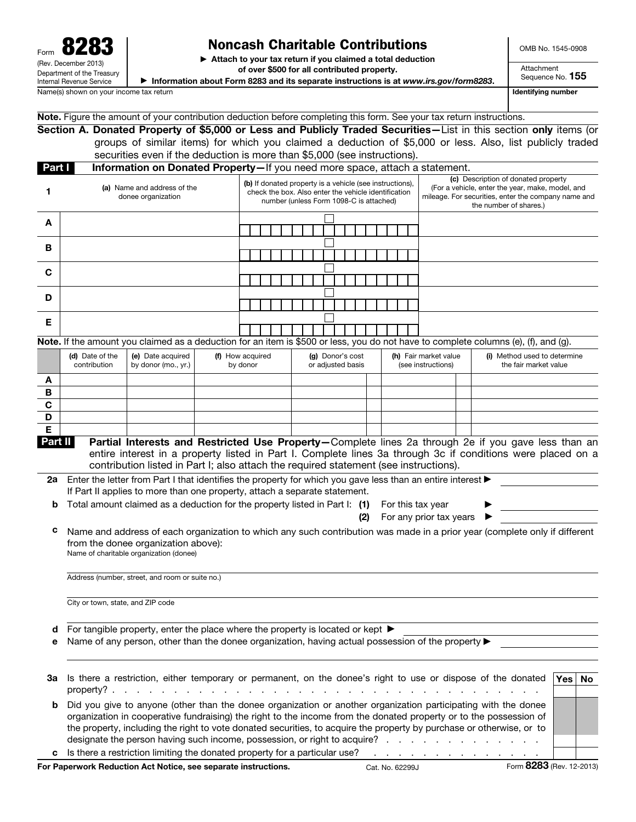## Noncash Charitable Contributions

▶ Attach to your tax return if you claimed a total deduction

Note. Figure the amount of your contribution deduction before completing this form. See your tax return instructions.

OMB No. 1545-0908

of over \$500 for all contributed property.

▶ Information about Form 8283 and its separate instructions is at *www.irs.gov/form8283*.

Section A. Donated Property of \$5,000 or Less and Publicly Traded Securities—List in this section only items (or

Sequence No. 155

Attachment

Name(s) shown on your income tax return income that we have a state of the state of the state of the state of the state of the state of the state of the state of the state of the state of the state of the state of the stat

|              |                                                                             | groups of similar items) for which you claimed a deduction of \$5,000 or less. Also, list publicly traded<br>securities even if the deduction is more than \$5,000 (see instructions).                                                                                                                                                                                                                                                     |  |                              |                                                                                                                                                                                                                                            |  |  |  |  |  |                                       |  |     |  |                                                                                                                                                                          |  |                                             |  |  |                                                       |     |    |
|--------------|-----------------------------------------------------------------------------|--------------------------------------------------------------------------------------------------------------------------------------------------------------------------------------------------------------------------------------------------------------------------------------------------------------------------------------------------------------------------------------------------------------------------------------------|--|------------------------------|--------------------------------------------------------------------------------------------------------------------------------------------------------------------------------------------------------------------------------------------|--|--|--|--|--|---------------------------------------|--|-----|--|--------------------------------------------------------------------------------------------------------------------------------------------------------------------------|--|---------------------------------------------|--|--|-------------------------------------------------------|-----|----|
| Part I       |                                                                             |                                                                                                                                                                                                                                                                                                                                                                                                                                            |  |                              |                                                                                                                                                                                                                                            |  |  |  |  |  |                                       |  |     |  |                                                                                                                                                                          |  |                                             |  |  |                                                       |     |    |
| 1            | (a) Name and address of the<br>donee organization                           |                                                                                                                                                                                                                                                                                                                                                                                                                                            |  |                              | Information on Donated Property-If you need more space, attach a statement.<br>(b) If donated property is a vehicle (see instructions),<br>check the box. Also enter the vehicle identification<br>number (unless Form 1098-C is attached) |  |  |  |  |  |                                       |  |     |  | (c) Description of donated property<br>(For a vehicle, enter the year, make, model, and<br>mileage. For securities, enter the company name and<br>the number of shares.) |  |                                             |  |  |                                                       |     |    |
| A            |                                                                             |                                                                                                                                                                                                                                                                                                                                                                                                                                            |  |                              |                                                                                                                                                                                                                                            |  |  |  |  |  |                                       |  |     |  |                                                                                                                                                                          |  |                                             |  |  |                                                       |     |    |
| в            |                                                                             |                                                                                                                                                                                                                                                                                                                                                                                                                                            |  |                              |                                                                                                                                                                                                                                            |  |  |  |  |  |                                       |  |     |  |                                                                                                                                                                          |  |                                             |  |  |                                                       |     |    |
| С            |                                                                             |                                                                                                                                                                                                                                                                                                                                                                                                                                            |  |                              |                                                                                                                                                                                                                                            |  |  |  |  |  |                                       |  |     |  |                                                                                                                                                                          |  |                                             |  |  |                                                       |     |    |
| D            |                                                                             |                                                                                                                                                                                                                                                                                                                                                                                                                                            |  |                              |                                                                                                                                                                                                                                            |  |  |  |  |  |                                       |  |     |  |                                                                                                                                                                          |  |                                             |  |  |                                                       |     |    |
| Е            |                                                                             |                                                                                                                                                                                                                                                                                                                                                                                                                                            |  |                              |                                                                                                                                                                                                                                            |  |  |  |  |  |                                       |  |     |  |                                                                                                                                                                          |  |                                             |  |  |                                                       |     |    |
|              |                                                                             |                                                                                                                                                                                                                                                                                                                                                                                                                                            |  |                              |                                                                                                                                                                                                                                            |  |  |  |  |  |                                       |  |     |  |                                                                                                                                                                          |  |                                             |  |  |                                                       |     |    |
|              |                                                                             | Note. If the amount you claimed as a deduction for an item is \$500 or less, you do not have to complete columns (e), (f), and (g).                                                                                                                                                                                                                                                                                                        |  |                              |                                                                                                                                                                                                                                            |  |  |  |  |  |                                       |  |     |  |                                                                                                                                                                          |  |                                             |  |  |                                                       |     |    |
|              | (e) Date acquired<br>(d) Date of the<br>contribution<br>by donor (mo., yr.) |                                                                                                                                                                                                                                                                                                                                                                                                                                            |  | (f) How acquired<br>by donor |                                                                                                                                                                                                                                            |  |  |  |  |  | (g) Donor's cost<br>or adjusted basis |  |     |  |                                                                                                                                                                          |  | (h) Fair market value<br>(see instructions) |  |  | (i) Method used to determine<br>the fair market value |     |    |
| A            |                                                                             |                                                                                                                                                                                                                                                                                                                                                                                                                                            |  |                              |                                                                                                                                                                                                                                            |  |  |  |  |  |                                       |  |     |  |                                                                                                                                                                          |  |                                             |  |  |                                                       |     |    |
| в            |                                                                             |                                                                                                                                                                                                                                                                                                                                                                                                                                            |  |                              |                                                                                                                                                                                                                                            |  |  |  |  |  |                                       |  |     |  |                                                                                                                                                                          |  |                                             |  |  |                                                       |     |    |
| C            |                                                                             |                                                                                                                                                                                                                                                                                                                                                                                                                                            |  |                              |                                                                                                                                                                                                                                            |  |  |  |  |  |                                       |  |     |  |                                                                                                                                                                          |  |                                             |  |  |                                                       |     |    |
| D            |                                                                             |                                                                                                                                                                                                                                                                                                                                                                                                                                            |  |                              |                                                                                                                                                                                                                                            |  |  |  |  |  |                                       |  |     |  |                                                                                                                                                                          |  |                                             |  |  |                                                       |     |    |
| E<br>Part II |                                                                             | Partial Interests and Restricted Use Property-Complete lines 2a through 2e if you gave less than an                                                                                                                                                                                                                                                                                                                                        |  |                              |                                                                                                                                                                                                                                            |  |  |  |  |  |                                       |  |     |  |                                                                                                                                                                          |  |                                             |  |  |                                                       |     |    |
|              |                                                                             | entire interest in a property listed in Part I. Complete lines 3a through 3c if conditions were placed on a<br>contribution listed in Part I; also attach the required statement (see instructions).                                                                                                                                                                                                                                       |  |                              |                                                                                                                                                                                                                                            |  |  |  |  |  |                                       |  |     |  |                                                                                                                                                                          |  |                                             |  |  |                                                       |     |    |
| 2a           |                                                                             | Enter the letter from Part I that identifies the property for which you gave less than an entire interest ▶<br>If Part II applies to more than one property, attach a separate statement.                                                                                                                                                                                                                                                  |  |                              |                                                                                                                                                                                                                                            |  |  |  |  |  |                                       |  |     |  |                                                                                                                                                                          |  |                                             |  |  |                                                       |     |    |
| b            |                                                                             | Total amount claimed as a deduction for the property listed in Part I: (1)                                                                                                                                                                                                                                                                                                                                                                 |  |                              |                                                                                                                                                                                                                                            |  |  |  |  |  |                                       |  |     |  |                                                                                                                                                                          |  | For this tax year                           |  |  |                                                       |     |    |
|              |                                                                             |                                                                                                                                                                                                                                                                                                                                                                                                                                            |  |                              |                                                                                                                                                                                                                                            |  |  |  |  |  |                                       |  | (2) |  |                                                                                                                                                                          |  | For any prior tax years                     |  |  |                                                       |     |    |
| с            |                                                                             | Name and address of each organization to which any such contribution was made in a prior year (complete only if different<br>from the donee organization above):<br>Name of charitable organization (donee)                                                                                                                                                                                                                                |  |                              |                                                                                                                                                                                                                                            |  |  |  |  |  |                                       |  |     |  |                                                                                                                                                                          |  |                                             |  |  |                                                       |     |    |
|              |                                                                             | Address (number, street, and room or suite no.)                                                                                                                                                                                                                                                                                                                                                                                            |  |                              |                                                                                                                                                                                                                                            |  |  |  |  |  |                                       |  |     |  |                                                                                                                                                                          |  |                                             |  |  |                                                       |     |    |
|              | City or town, state, and ZIP code                                           |                                                                                                                                                                                                                                                                                                                                                                                                                                            |  |                              |                                                                                                                                                                                                                                            |  |  |  |  |  |                                       |  |     |  |                                                                                                                                                                          |  |                                             |  |  |                                                       |     |    |
| d            |                                                                             | For tangible property, enter the place where the property is located or kept $\blacktriangleright$                                                                                                                                                                                                                                                                                                                                         |  |                              |                                                                                                                                                                                                                                            |  |  |  |  |  |                                       |  |     |  |                                                                                                                                                                          |  |                                             |  |  |                                                       |     |    |
| е            |                                                                             | Name of any person, other than the donee organization, having actual possession of the property $\blacktriangleright$                                                                                                                                                                                                                                                                                                                      |  |                              |                                                                                                                                                                                                                                            |  |  |  |  |  |                                       |  |     |  |                                                                                                                                                                          |  |                                             |  |  |                                                       |     |    |
| За           |                                                                             | Is there a restriction, either temporary or permanent, on the donee's right to use or dispose of the donated                                                                                                                                                                                                                                                                                                                               |  |                              |                                                                                                                                                                                                                                            |  |  |  |  |  |                                       |  |     |  |                                                                                                                                                                          |  |                                             |  |  |                                                       | Yes | No |
| b            |                                                                             | Did you give to anyone (other than the donee organization or another organization participating with the donee<br>organization in cooperative fundraising) the right to the income from the donated property or to the possession of<br>the property, including the right to vote donated securities, to acquire the property by purchase or otherwise, or to<br>designate the person having such income, possession, or right to acquire? |  |                              |                                                                                                                                                                                                                                            |  |  |  |  |  |                                       |  |     |  |                                                                                                                                                                          |  |                                             |  |  |                                                       |     |    |
|              |                                                                             |                                                                                                                                                                                                                                                                                                                                                                                                                                            |  |                              |                                                                                                                                                                                                                                            |  |  |  |  |  |                                       |  |     |  |                                                                                                                                                                          |  |                                             |  |  |                                                       |     |    |

For Paperwork Reduction Act Notice, see separate instructions. Cat. No. 62299J Form 8283 (Rev. 12-2013)